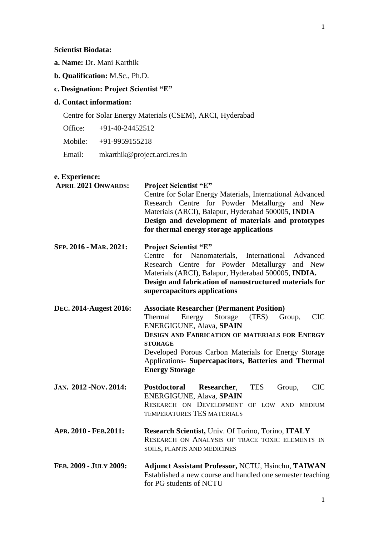- **a. Name:** Dr. Mani Karthik
- **b. Qualification:** M.Sc., Ph.D.

# **c. Designation: Project Scientist "E"**

## **d. Contact information:**

Centre for Solar Energy Materials (CSEM), ARCI, Hyderabad

Office: +91-40-24452512

Mobile: +91-9959155218

Email: mkarthik@project.arci.res.in

### **e. Experience:**

| <b>APRIL 2021 ONWARDS:</b> | <b>Project Scientist "E"</b>                                                                               |
|----------------------------|------------------------------------------------------------------------------------------------------------|
|                            | Centre for Solar Energy Materials, International Advanced<br>Research Centre for Powder Metallurgy and New |
|                            | Materials (ARCI), Balapur, Hyderabad 500005, INDIA                                                         |
|                            | Design and development of materials and prototypes                                                         |
|                            | for thermal energy storage applications                                                                    |
| SEP. 2016 - MAR. 2021:     | <b>Project Scientist "E"</b>                                                                               |
|                            | Centre<br>for<br>Nanomaterials, International<br>Advanced                                                  |
|                            | Research Centre for Powder Metallurgy<br>and New                                                           |
|                            | Materials (ARCI), Balapur, Hyderabad 500005, INDIA.                                                        |
|                            | Design and fabrication of nanostructured materials for<br>supercapacitors applications                     |
| DEC. 2014-Augest 2016:     | <b>Associate Researcher (Permanent Position)</b>                                                           |
|                            | Storage<br>Energy<br>(TES)<br><b>CIC</b><br>Thermal<br>Group,                                              |
|                            | ENERGIGUNE, Alava, SPAIN                                                                                   |
|                            | <b>DESIGN AND FABRICATION OF MATERIALS FOR ENERGY</b>                                                      |
|                            | <b>STORAGE</b><br>Developed Porous Carbon Materials for Energy Storage                                     |
|                            | Applications- Supercapacitors, Batteries and Thermal                                                       |
|                            | <b>Energy Storage</b>                                                                                      |
| JAN. 2012 - NOV. 2014:     | Postdoctoral<br>Group,<br><b>CIC</b><br>Researcher,<br><b>TES</b>                                          |
|                            | <b>ENERGIGUNE, Alava, SPAIN</b>                                                                            |
|                            | RESEARCH ON DEVELOPMENT OF LOW AND MEDIUM                                                                  |
|                            | TEMPERATURES TES MATERIALS                                                                                 |
| APR. 2010 - FEB.2011:      | Research Scientist, Univ. Of Torino, Torino, ITALY                                                         |
|                            | RESEARCH ON ANALYSIS OF TRACE TOXIC ELEMENTS IN                                                            |
|                            | SOILS, PLANTS AND MEDICINES                                                                                |
| FEB. 2009 - JULY 2009:     | <b>Adjunct Assistant Professor, NCTU, Hsinchu, TAIWAN</b>                                                  |
|                            | Established a new course and handled one semester teaching                                                 |
|                            | for PG students of NCTU                                                                                    |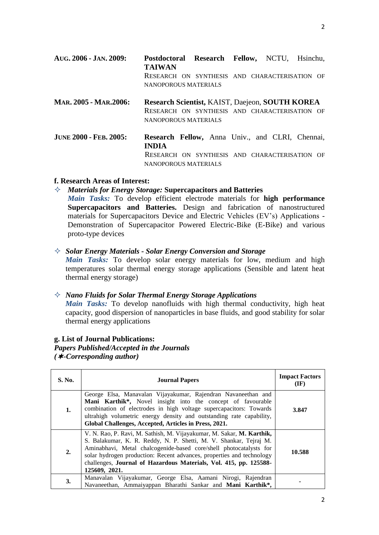| AUG. 2006 - JAN. 2009:        | Postdoctoral Research Fellow, NCTU, Hsinchu,<br><b>TAIWAN</b>                                                                                   |  |  |
|-------------------------------|-------------------------------------------------------------------------------------------------------------------------------------------------|--|--|
|                               | RESEARCH ON SYNTHESIS AND CHARACTERISATION OF<br>NANOPOROUS MATERIALS                                                                           |  |  |
| MAR. 2005 - MAR. 2006:        | Research Scientist, KAIST, Daejeon, SOUTH KOREA<br>RESEARCH ON SYNTHESIS AND CHARACTERISATION OF<br>NANOPOROUS MATERIALS                        |  |  |
| <b>JUNE 2000 - FEB. 2005:</b> | Research Fellow, Anna Univ., and CLRI, Chennai,<br><b>INDIA</b><br>RESEARCH ON SYNTHESIS AND CHARACTERISATION OF<br><b>NANOPOROUS MATERIALS</b> |  |  |

### **f. Research Areas of Interest:**

 *Materials for Energy Storage:* **Supercapacitors and Batteries** *Main Tasks:* To develop efficient electrode materials for **high performance Supercapacitors and Batteries.** Design and fabrication of nanostructured materials for Supercapacitors Device and Electric Vehicles (EV's) Applications - Demonstration of Supercapacitor Powered Electric-Bike (E-Bike) and various proto-type devices

### *Solar Energy Materials - Solar Energy Conversion and Storage*

*Main Tasks:* To develop solar energy materials for low, medium and high temperatures solar thermal energy storage applications (Sensible and latent heat thermal energy storage)

### *Nano Fluids for Solar Thermal Energy Storage Applications*

*Main Tasks:* To develop nanofluids with high thermal conductivity, high heat capacity, good dispersion of nanoparticles in base fluids, and good stability for solar thermal energy applications

# **g. List of Journal Publications:** *Papers Published/Accepted in the Journals*

*(-Corresponding author)* 

| <b>S. No.</b> | <b>Journal Papers</b>                                                                                                                                                                                                                                                                                                                                                           | <b>Impact Factors</b><br>$(\mathbf{IF})$ |
|---------------|---------------------------------------------------------------------------------------------------------------------------------------------------------------------------------------------------------------------------------------------------------------------------------------------------------------------------------------------------------------------------------|------------------------------------------|
| 1.            | George Elsa, Manavalan Vijayakumar, Rajendran Navaneethan and<br>Mani Karthik*, Novel insight into the concept of favourable<br>combination of electrodes in high voltage supercapacitors: Towards<br>ultrahigh volumetric energy density and outstanding rate capability,<br>Global Challenges, Accepted, Articles in Press, 2021.                                             | 3.847                                    |
| 2.            | V. N. Rao, P. Ravi, M. Sathish, M. Vijayakumar, M. Sakar, M. Karthik,<br>S. Balakumar, K. R. Reddy, N. P. Shetti, M. V. Shankar, Tejraj M.<br>Aminabhavi, Metal chalcogenide-based core/shell photocatalysts for<br>solar hydrogen production: Recent advances, properties and technology<br>challenges, Journal of Hazardous Materials, Vol. 415, pp. 125588-<br>125609, 2021. | 10.588                                   |
| 3.            | Manavalan Vijayakumar, George Elsa, Aamani Nirogi, Rajendran<br>Navaneethan, Ammaiyappan Bharathi Sankar and Mani Karthik*,                                                                                                                                                                                                                                                     |                                          |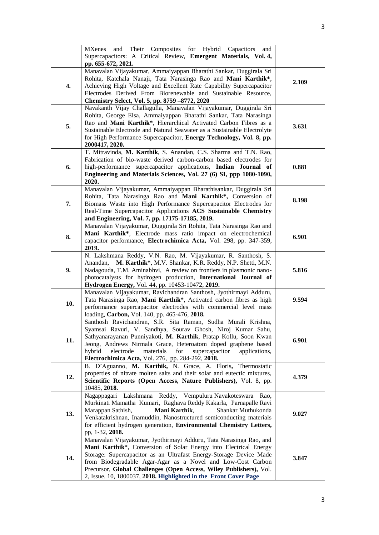|     | MXenes and Their Composites for Hybrid Capacitors<br>and<br>Supercapacitors: A Critical Review, Emergent Materials, Vol. 4,<br>pp. 655-672, 2021.                                                                                                                                                                                                                                                                     |       |
|-----|-----------------------------------------------------------------------------------------------------------------------------------------------------------------------------------------------------------------------------------------------------------------------------------------------------------------------------------------------------------------------------------------------------------------------|-------|
| 4.  | Manavalan Vijayakumar, Ammaiyappan Bharathi Sankar, Duggirala Sri<br>Rohita, Katchala Nanaji, Tata Narasinga Rao and Mani Karthik*,<br>Achieving High Voltage and Excellent Rate Capability Supercapacitor<br>Electrodes Derived From Biorenewable and Sustainable Resource,<br>Chemistry Select, Vol. 5, pp. 8759 -8772, 2020                                                                                        | 2.109 |
| 5.  | Navakanth Vijay Challagulla, Manavalan Vijayakumar, Duggirala Sri<br>Rohita, George Elsa, Ammaiyappan Bharathi Sankar, Tata Narasinga<br>Rao and Mani Karthik*, Hierarchical Activated Carbon Fibres as a<br>Sustainable Electrode and Natural Seawater as a Sustainable Electrolyte<br>for High Performance Supercapacitor, Energy Technology, Vol. 8, pp.<br>2000417, 2020.                                         | 3.631 |
| 6.  | T. Mitravinda, M. Karthik, S. Anandan, C.S. Sharma and T.N. Rao,<br>Fabrication of bio-waste derived carbon-carbon based electrodes for<br>high-performance supercapacitor applications, Indian Journal of<br>Engineering and Materials Sciences, Vol. 27 (6) SI, ppp 1080-1090,<br>2020.                                                                                                                             | 0.881 |
| 7.  | Manavalan Vijayakumar, Ammaiyappan Bharathisankar, Duggirala Sri<br>Rohita, Tata Narasinga Rao and Mani Karthik*, Conversion of<br>Biomass Waste into High Performance Supercapacitor Electrodes for<br>Real-Time Supercapacitor Applications ACS Sustainable Chemistry<br>and Engineering, Vol. 7, pp. 17175-17185, 2019.                                                                                            | 8.198 |
| 8.  | Manavalan Vijayakumar, Duggirala Sri Rohita, Tata Narasinga Rao and<br>Mani Karthik*, Electrode mass ratio impact on electrochemical<br>capacitor performance, Electrochimica Acta, Vol. 298, pp. 347-359,<br>2019.                                                                                                                                                                                                   | 6.901 |
| 9.  | N. Lakshmana Reddy, V.N. Rao, M. Vijayakumar, R. Santhosh, S.<br>Anandan, M. Karthik*, M.V. Shankar, K.R. Reddy, N.P. Shetti, M.N.<br>Nadagouda, T.M. Aminabhvi, A review on frontiers in plasmonic nano-<br>photocatalysts for hydrogen production, International Journal of<br>Hydrogen Energy, Vol. 44, pp. 10453-10472, 2019.                                                                                     | 5.816 |
| 10. | Manavalan Vijayakumar, Ravichandran Santhosh, Jyothirmayi Adduru,<br>Tata Narasinga Rao, Mani Karthik*, Activated carbon fibres as high<br>performance supercapacitor electrodes with commercial level mass<br>loading, Carbon, Vol. 140, pp. 465-476, 2018.                                                                                                                                                          | 9.594 |
| 11. | Santhosh Ravichandran, S.R. Sita Raman, Sudha Murali Krishna,<br>Syamsai Ravuri, V. Sandhya, Sourav Ghosh, Niroj Kumar Sahu,<br>Sathyanarayanan Punniyakoti, M. Karthik, Pratap Kollu, Soon Kwan<br>Jeong, Andrews Nirmala Grace, Heteroatom doped graphene based<br>hybrid<br>electrode<br>materials<br>for<br>supercapacitor<br>applications,<br>Electrochimica Acta, Vol. 276, pp. 284-292, 2018.                  | 6.901 |
| 12. | B. D'Aguanno, M. Karthik, N. Grace, A. Floris, Thermostatic<br>properties of nitrate molten salts and their solar and eutectic mixtures,<br>Scientific Reports (Open Access, Nature Publishers), Vol. 8, pp.<br>10485, 2018.                                                                                                                                                                                          | 4.379 |
| 13. | Nagappagari Lakshmana Reddy, Vempuluru Navakoteswara Rao,<br>Murkinati Mamatha Kumari, Raghava Reddy Kakarla, Parnapalle Ravi<br>Marappan Sathish,<br>Mani Karthik,<br>Shankar Muthukonda<br>Venkatakrishnan, Inamuddin, Nanostructured semiconducting materials<br>for efficient hydrogen generation, Environmental Chemistry Letters,<br>pp, 1-32, 2018.                                                            | 9.027 |
| 14. | Manavalan Vijayakumar, Jyothirmayi Adduru, Tata Narasinga Rao, and<br>Mani Karthik*, Conversion of Solar Energy into Electrical Energy<br>Storage: Supercapacitor as an Ultrafast Energy-Storage Device Made<br>from Biodegradable Agar-Agar as a Novel and Low-Cost Carbon<br>Precursor, Global Challenges (Open Access, Wiley Publishers), Vol.<br>2, Issue. 10, 1800037, 2018. Highlighted in the Front Cover Page | 3.847 |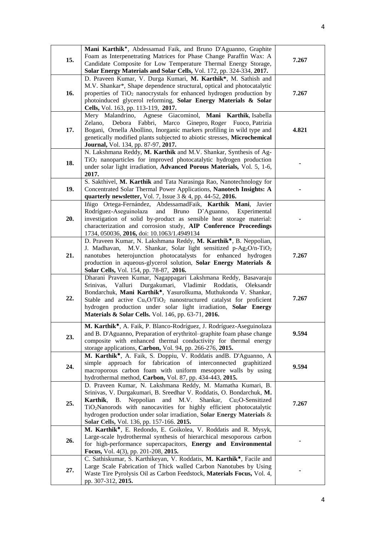| 15. | Mani Karthik*, Abdessamad Faik, and Bruno D'Aguanno, Graphite<br>Foam as Interpenetrating Matrices for Phase Change Paraffin Wax: A<br>Candidate Composite for Low Temperature Thermal Energy Storage,                                                                                                                                                                                                                             | 7.267 |
|-----|------------------------------------------------------------------------------------------------------------------------------------------------------------------------------------------------------------------------------------------------------------------------------------------------------------------------------------------------------------------------------------------------------------------------------------|-------|
| 16. | Solar Energy Materials and Solar Cells, Vol. 172, pp. 324-334, 2017.<br>D. Praveen Kumar, V. Durga Kumari, M. Karthik*, M. Sathish and<br>M.V. Shankar*, Shape dependence structural, optical and photocatalytic<br>properties of TiO <sub>2</sub> nanocrystals for enhanced hydrogen production by<br>photoinduced glycerol reforming, Solar Energy Materials & Solar<br>Cells, Vol. 163, pp. 113-119, 2017.                      | 7.267 |
| 17. | Mery Malandrino, Agnese Giacominol, Mani Karthik, Isabella<br>Zelano, Debora Fabbri, Marco Ginepro, Roger Fuoco, Patrizia<br>Bogani, Ornella Abollino, Inorganic markers profiling in wild type and<br>genetically modified plants subjected to abiotic stresses, Microchemical<br>Journal, Vol. 134, pp. 87-97, 2017.                                                                                                             | 4.821 |
| 18. | N. Lakshmana Reddy, M. Karthik and M.V. Shankar, Synthesis of Ag-<br>TiO <sub>2</sub> nanoparticles for improved photocatalytic hydrogen production<br>under solar light irradiation, Advanced Porous Materials, Vol. 5, 1-6,<br>2017.                                                                                                                                                                                             |       |
| 19. | S. Sakthivel, M. Karthik and Tata Narasinga Rao, Nanotechnology for<br>Concentrated Solar Thermal Power Applications, Nanotech Insights: A<br>quarterly newsletter, Vol. 7, Issue $3 & 4$ , pp. 44-52, 2016.                                                                                                                                                                                                                       |       |
| 20. | Iñigo Ortega-Fernández, AbdessamadFaik, Karthik Mani, Javier<br>and<br>Rodríguez-Aseguinolaza<br>Bruno<br>D'Aguanno, Experimental<br>investigation of solid by-product as sensible heat storage material:<br>characterization and corrosion study, AIP Conference Proceedings<br>1734, 050036, 2016, doi: 10.1063/1.4949134                                                                                                        |       |
| 21. | D. Praveen Kumar, N. Lakshmana Reddy, M. Karthik*, B. Neppolian,<br>M.V. Shankar, Solar light sensitized p-Ag <sub>2</sub> O/n-TiO <sub>2</sub><br>J. Madhavan,<br>nanotubes heterojunction photocatalysts for enhanced hydrogen<br>production in aqueous-glycerol solution, Solar Energy Materials &<br>Solar Cells, Vol. 154, pp. 78-87, 2016.                                                                                   | 7.267 |
| 22. | Dharani Praveen Kumar, Nagappagari Lakshmana Reddy, Basavaraju<br>Valluri Durgakumari, Vladimir Roddatis, Oleksandr<br>Srinivas,<br>Bondarchuk, Mani Karthik <sup>*</sup> , YasuroIkuma, Muthukonda V. Shankar,<br>Stable and active $CuxO/TiO2$ nanostructured catalyst for proficient<br>hydrogen production under solar light irradiation, Solar Energy<br>Materials & Solar Cells. Vol. 146, pp. 63-71, 2016.                  | 7.267 |
| 23. | M. Karthik <sup>*</sup> , A. Faik, P. Blanco-Rodríguez, J. Rodríguez-Aseguinolaza<br>and B. D'Aguanno, Preparation of erythritol-graphite foam phase change<br>composite with enhanced thermal conductivity for thermal energy<br>storage applications, Carbon, Vol. 94, pp. 266-276, 2015.                                                                                                                                        | 9.594 |
| 24. | M. Karthik <sup>*</sup> , A. Faik, S. Doppiu, V. Roddatis and B. D'Aguanno, A.<br>approach for fabrication of interconnected graphitized<br>simple<br>macroporous carbon foam with uniform mesopore walls by using<br>hydrothermal method, Carbon, Vol. 87, pp. 434-443, 2015.                                                                                                                                                     | 9.594 |
| 25. | D. Praveen Kumar, N. Lakshmana Reddy, M. Mamatha Kumari, B.<br>Srinivas, V. Durgakumari, B. Sreedhar V. Roddatis, O. Bondarchuk, M.<br>Neppolian<br>Karthik,<br>and<br>M.V.<br>Shankar,<br>$Cu2O-Sensitived$<br><b>B.</b><br>TiO <sub>2</sub> Nanorods with nanocavities for highly efficient photocatalytic<br>hydrogen production under solar irradiation, Solar Energy Materials &<br>Solar Cells, Vol. 136, pp. 157-166. 2015. | 7.267 |
| 26. | M. Karthik <sup>*</sup> , E. Redondo, E. Goikolea, V. Roddatis and R. Mysyk,<br>Large-scale hydrothermal synthesis of hierarchical mesoporous carbon<br>for high-performance supercapacitors, Energy and Environmental<br>Focus, Vol. 4(3), pp. 201-208, 2015.                                                                                                                                                                     |       |
| 27. | C. Sathiskumar, S. Karthikeyan, V. Roddatis, M. Karthik*, Facile and<br>Large Scale Fabrication of Thick walled Carbon Nanotubes by Using<br>Waste Tire Pyrolysis Oil as Carbon Feedstock, Materials Focus, Vol. 4,<br>pp. 307-312, 2015.                                                                                                                                                                                          |       |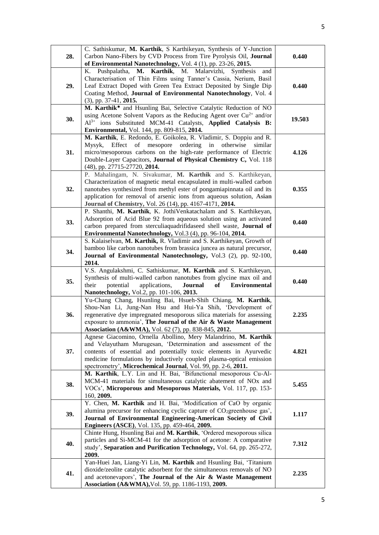| 28. | C. Sathiskumar, M. Karthik, S Karthikeyan, Synthesis of Y-Junction<br>Carbon Nano-Fibers by CVD Process from Tire Pyrolysis Oil, Journal<br>of Environmental Nanotechnology, Vol. 4 (1), pp. 23-26, 2015.                                                                                                                                           | 0.440  |
|-----|-----------------------------------------------------------------------------------------------------------------------------------------------------------------------------------------------------------------------------------------------------------------------------------------------------------------------------------------------------|--------|
| 29. | Pushpalatha, M. Karthik, M. Malarvizhi,<br>Synthesis<br>К.<br>and<br>Characterisation of Thin Films using Tanner's Cassia, Nerium, Basil<br>Leaf Extract Doped with Green Tea Extract Deposited by Single Dip<br>Coating Method, Journal of Environmental Nanotechnology, Vol. 4<br>$(3)$ , pp. 37-41, 2015.                                        | 0.440  |
| 30. | M. Karthik <sup>*</sup> and Hsunling Bai, Selective Catalytic Reduction of NO<br>using Acetone Solvent Vapors as the Reducing Agent over $Cu^{2+}$ and/or<br>$Al^{3+}$ ions Substituted MCM-41 Catalysts, Applied Catalysis B:<br>Environmental, Vol. 144, pp. 809-815, 2014.                                                                       | 19.503 |
| 31. | M. Karthik, E. Redondo, E. Goikolea, R. Vladimir, S. Doppiu and R.<br>Effect of mesopore ordering<br>in<br>Mysyk,<br>otherwise<br>similar<br>micro/mesoporous carbons on the high-rate performance of Electric<br>Double-Layer Capacitors, Journal of Physical Chemistry C, Vol. 118<br>(48), pp. 27715-27720, 2014.                                | 4.126  |
| 32. | P. Mahalingam, N. Sivakumar, M. Karthik and S. Karthikeyan,<br>Characterization of magnetic metal encapsulated in multi-walled carbon<br>nanotubes synthesized from methyl ester of pongamiapinnata oil and its<br>application for removal of arsenic ions from aqueous solution, Asian<br>Journal of Chemistry, Vol. 26 (14), pp. 4167-4171, 2014. | 0.355  |
| 33. | P. Shanthi, M. Karthik, K. JothiVenkatachalam and S. Karthikeyan,<br>Adsorption of Acid Blue 92 from aqueous solution using an activated<br>carbon prepared from sterculiaquadrifidaseed shell waste, Journal of<br>Environmental Nanotechnology, Vol.3 (4), pp. 96-104, 2014.                                                                      | 0.440  |
| 34. | S. Kalaiselvan, M. Karthik, R. Vladimir and S. Karthikeyan, Growth of<br>bamboo like carbon nanotubes from brassica juncea as natural precursor,<br>Journal of Environmental Nanotechnology, Vol.3 (2), pp. 92-100,<br>2014.                                                                                                                        | 0.440  |
| 35. | V.S. Angulakshmi, C. Sathiskumar, M. Karthik and S. Karthikeyan,<br>Synthesis of multi-walled carbon nanotubes from glycine max oil and<br>applications,<br>their<br>potential<br>Journal<br>of<br><b>Environmental</b><br>Nanotechnology, Vol.2, pp. 101-106, 2013.                                                                                | 0.440  |
| 36. | Yu-Chang Chang, Hsunling Bai, Hsueh-Shih Chiang, M. Karthik,<br>Shou-Nan Li, Jung-Nan Hsu and Hui-Ya Shih, 'Development of<br>regenerative dye impregnated mesoporous silica materials for assessing<br>exposure to ammonia', The Journal of the Air & Waste Management<br>Association (A&WMA), Vol. 62 (7), pp. 838-845, 2012.                     | 2.235  |
| 37. | Agnese Giacomino, Ornella Abollino, Mery Malandrino, M. Karthik<br>and Velayutham Murugesan, 'Determination and assessment of the<br>contents of essential and potentially toxic elements in Ayurvedic<br>medicine formulations by inductively coupled plasma-optical emission<br>spectrometry', Microchemical Journal, Vol. 99, pp. 2-6, 2011.     | 4.821  |
| 38. | M. Karthik, L.Y. Lin and H. Bai, 'Bifunctional mesoporous Cu-Al-<br>MCM-41 materials for simultaneous catalytic abatement of NOx and<br>VOCs', Microporous and Mesoporous Materials, Vol. 117, pp. 153-<br>160, 2009.                                                                                                                               | 5.455  |
| 39. | Y. Chen, M. Karthik and H. Bai, 'Modification of CaO by organic<br>alumina precursor for enhancing cyclic capture of CO <sub>2</sub> greenhouse gas',<br>Journal of Environmental Engineering-American Society of Civil<br>Engineers (ASCE), Vol. 135, pp. 459-464, 2009.                                                                           | 1.117  |
| 40. | Chinte Hung, Hsunling Bai and M. Karthik, 'Ordered mesoporous silica<br>particles and Si-MCM-41 for the adsorption of acetone: A comparative<br>study', Separation and Purification Technology, Vol. 64, pp. 265-272,<br>2009.                                                                                                                      | 7.312  |
| 41. | Yan-Huei Jan, Liang-Yi Lin, M. Karthik and Hsunling Bai, 'Titanium<br>dioxide/zeolite catalytic adsorbent for the simultaneous removals of NO<br>and acetonevapors', The Journal of the Air & Waste Management<br>Association (A&WMA), Vol. 59, pp. 1186-1193, 2009.                                                                                | 2.235  |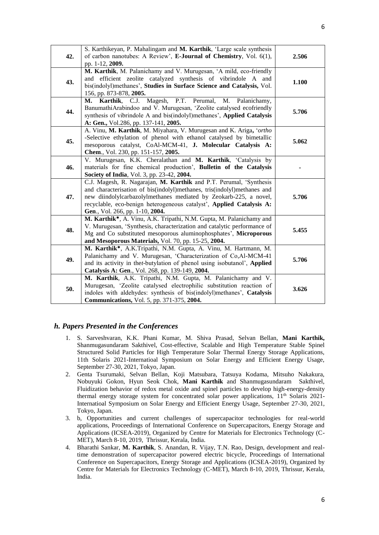| 42. | S. Karthikeyan, P. Mahalingam and M. Karthik, 'Large scale synthesis<br>of carbon nanotubes: A Review', E-Journal of Chemistry, Vol. 6(1),<br>pp. 1-12, 2009.                                                                                                                                                                 | 2.506 |
|-----|-------------------------------------------------------------------------------------------------------------------------------------------------------------------------------------------------------------------------------------------------------------------------------------------------------------------------------|-------|
| 43. | M. Karthik, M. Palanichamy and V. Murugesan, 'A mild, eco-friendly<br>and efficient zeolite catalyzed synthesis of vibrindole A and<br>bis(indolyl)methanes', Studies in Surface Science and Catalysis, Vol.<br>156, pp. 873-878, 2005.                                                                                       | 1.100 |
| 44. | Magesh, P.T. Perumal,<br>Karthik, C.J.<br>М.<br>М.<br>Palanichamy,<br>BanumathiArabindoo and V. Murugesan, 'Zeolite catalysed ecofriendly<br>synthesis of vibrindole A and bis(indolyl)methanes', Applied Catalysis<br>A: Gen., Vol.286, pp. 137-141, 2005.                                                                   | 5.706 |
| 45. | A. Vinu, M. Karthik, M. Miyahara, V. Murugesan and K. Ariga, 'ortho<br>-Selective ethylation of phenol with ethanol catalysed by bimetallic<br>mesoporous catalyst, CoAl-MCM-41, J. Molecular Catalysis A:<br>Chem., Vol. 230, pp. 151-157, 2005.                                                                             | 5.062 |
| 46. | V. Murugesan, K.K. Cheralathan and M. Karthik, 'Catalysis by<br>materials for fine chemical production', Bulletin of the Catalysis<br>Society of India, Vol. 3, pp. 23-42, 2004.                                                                                                                                              |       |
| 47. | C.J. Magesh, R. Nagarajan, M. Karthik and P.T. Perumal, 'Synthesis<br>and characterisation of bis(indolyl)methanes, tris(indolyl)methanes and<br>new diindolylcarbazolylmethanes mediated by Zeokarb-225, a novel,<br>recyclable, eco-benign heterogeneous catalyst', Applied Catalysis A:<br>Gen., Vol. 266, pp. 1-10, 2004. | 5.706 |
| 48. | M. Karthik <sup>*</sup> , A. Vinu, A.K. Tripathi, N.M. Gupta, M. Palanichamy and<br>V. Murugesan, 'Synthesis, characterization and catalytic performance of<br>Mg and Co substituted mesoporous aluminophosphates', Microporous<br>and Mesoporous Materials, Vol. 70, pp. 15-25, 2004.                                        | 5.455 |
| 49. | M. Karthik <sup>*</sup> , A.K.Tripathi, N.M. Gupta, A. Vinu, M. Hartmann, M.<br>Palanichamy and V. Murugesan, 'Characterization of Co,Al-MCM-41<br>and its activity in thet-butylation of phenol using isobutanol', Applied<br>Catalysis A: Gen., Vol. 268, pp. 139-149, 2004.                                                | 5.706 |
| 50. | M. Karthik, A.K. Tripathi, N.M. Gupta, M. Palanichamy and V.<br>Murugesan, 'Zeolite catalysed electrophilic substitution reaction of<br>indoles with aldehydes: synthesis of bis(indolyl)methanes', Catalysis<br>Communications, Vol. 5, pp. 371-375, 2004.                                                                   | 3.626 |

### *h. Papers Presented in the Conferences*

- 1. S. Sarveshvaran, K.K. Phani Kumar, M. Shiva Prasad, Selvan Bellan, **Mani Karthik,** Shanmugasundaram Sakthivel, Cost-effective, Scalable and High Temperature Stable Spinel Structured Solid Particles for High Temperature Solar Thermal Energy Storage Applications, 11th Solaris 2021-Internatioal Symposium on Solar Energy and Efficient Energy Usage, September 27-30, 2021, Tokyo, Japan.
- 2. Genta Tsurumaki, Selvan Bellan, Koji Matsubara, Tatsuya Kodama, Mitsuho Nakakura, Nobuyuki Gokon, Hyun Seok Chok, **Mani Karthik** and Shanmugasundaram Sakthivel, Fluidization behavior of redox metal oxide and spinel particles to develop high-energy-density thermal energy storage system for concentrated solar power applications, 11<sup>th</sup> Solaris 2021-Internatioal Symposium on Solar Energy and Efficient Energy Usage, September 27-30, 2021, Tokyo, Japan.
- 3. b, Opportunities and current challenges of supercapacitor technologies for real-world applications, Proceedings of International Conference on Supercapacitors, Energy Storage and Applications (ICSEA-2019), Organized by Centre for Materials for Electronics Technology (C-MET), March 8-10, 2019, Thrissur, Kerala, India.
- 4. Bharathi Sankar, **M. Karthik**, S. Anandan, R. Vijay, T.N. Rao, Design, development and realtime demonstration of supercapacitor powered electric bicycle, Proceedings of International Conference on Supercapacitors, Energy Storage and Applications (ICSEA-2019), Organized by Centre for Materials for Electronics Technology (C-MET), March 8-10, 2019, Thrissur, Kerala, India.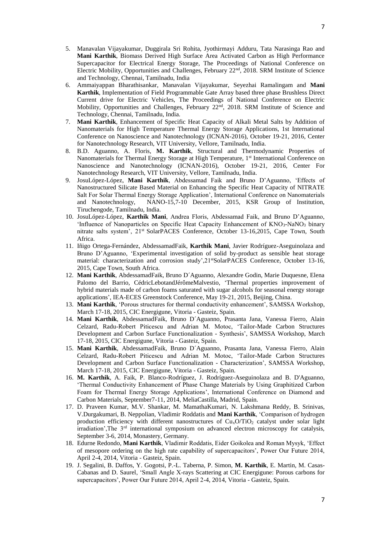- 5. Manavalan Vijayakumar, Duggirala Sri Rohita, Jyothirmayi Adduru, Tata Narasinga Rao and **Mani Karthik**, Biomass Derived High Surface Area Activated Carbon as High Performance Supercapacitor for Electrical Energy Storage, The Proceedings of National Conference on Electric Mobility, Opportunities and Challenges, February 22nd, 2018. SRM Institute of Science and Technology, Chennai, Tamilnadu, India
- 6. Ammaiyappan Bharathisankar, Manavalan Vijayakumar, Seyezhai Ramalingam and **Mani Karthik**, Implementation of Field Programmable Gate Array based three phase Brushless Direct Current drive for Electric Vehicles, The Proceedings of National Conference on Electric Mobility, Opportunities and Challenges, February 22<sup>nd</sup>, 2018. SRM Institute of Science and Technology, Chennai, Tamilnadu, India.
- 7. **Mani Karthik**, Enhancement of Specific Heat Capacity of Alkali Metal Salts by Addition of Nanomaterials for High Temperature Thermal Energy Storage Applications, 1st International Conference on Nanoscience and Nanotechnology (ICNAN-2016), October 19-21, 2016, Center for Nanotechnology Research, VIT University, Vellore, Tamilnadu, India.
- 8. B.D. Aguanno, A. Floris, **M. Karthik**, Structural and Thermodynamic Properties of Nanomaterials for Thermal Energy Storage at High Temperature, 1<sup>st</sup> International Conference on Nanoscience and Nanotechnology (ICNAN-2016), October 19-21, 2016, Center For Nanotechnology Research, VIT University, Vellore, Tamilnadu, India.
- 9. JosuLópez-López, **Mani Karthik**, Abdessamad Faik and Bruno D'Aguanno, 'Effects of Nanostructured Silicate Based Material on Enhancing the Specific Heat Capacity of NITRATE Salt For Solar Thermal Energy Storage Application', International Conference on Nanomaterials and Nanotechnology, NANO-15,7-10 December, 2015, KSR Group of Institution, Tiruchengode, Tamilnadu, India.
- 10. JosuLópez-López, **Karthik Mani**, Andrea Floris, Abdessamad Faik, and Bruno D'Aguanno, 'Influence of Nanoparticles on Specific Heat Capacity Enhancement of KNO3-NaNO<sup>3</sup> binary nitrate salts system', 21<sup>st</sup> SolarPACES Conference, October 13-16,2015, Cape Town, South Africa.
- 11. Iñigo Ortega-Fernández, AbdessamadFaik, **Karthik Mani**, Javier Rodríguez-Aseguinolaza and Bruno D'Aguanno, 'Experimental investigation of solid by-product as sensible heat storage material: characterization and corrosion study',21<sup>st</sup>SolarPACES Conference, October 13-16, 2015, Cape Town, South Africa.
- 12. **Mani Karthik**, AbdessamadFaik, Bruno D´Aguanno, Alexandre Godin, Marie Duquesne, Elena Palomo del Barrio, CédricLebotandJérômeMalvestio, 'Thermal properties improvement of hybrid materials made of carbon foams saturated with sugar alcohols for seasonal energy storage applications', IEA-ECES Greenstock Conference, May 19-21, 2015, Beijing, China.
- 13. **Mani Karthik**, 'Porous structures for thermal conductivity enhancement', SAMSSA Workshop, March 17-18, 2015, CIC Energigune, Vitoria - Gasteiz, Spain.
- 14. **Mani Karthik**, AbdessamadFaik, Bruno D´Aguanno, Prasanta Jana, Vanessa Fierro, Alain Celzard, Radu-Robert Piticescu and Adrian M. Motoc, 'Tailor-Made Carbon Structures Development and Carbon Surface Functionalization - Synthesis', SAMSSA Workshop, March 17-18, 2015, CIC Energigune, Vitoria - Gasteiz, Spain.
- 15. **Mani Karthik**, AbdessamadFaik, Bruno D´Aguanno, Prasanta Jana, Vanessa Fierro, Alain Celzard, Radu-Robert Piticescu and Adrian M. Motoc, 'Tailor-Made Carbon Structures Development and Carbon Surface Functionalization - Characterization', SAMSSA Workshop, March 17-18, 2015, CIC Energigune, Vitoria - Gasteiz, Spain.
- 16. **M. Karthik**, A. Faik, P. Blanco-Rodríguez, J. Rodríguez-Aseguinolaza and B. D'Aguanno, 'Thermal Conductivity Enhancement of Phase Change Materials by Using Graphitized Carbon Foam for Thermal Energy Storage Applications', International Conference on Diamond and Carbon Materials, September7-11, 2014, MeliaCastilla, Madrid, Spain.
- 17. D. Praveen Kumar, M.V. Shankar, M. MamathaKumari, N. Lakshmana Reddy, B. Srinivas, V.Durgakumari, B. Neppolian, Vladimir Roddatis and **Mani Karthik**, 'Comparison of hydrogen production efficiency with different nanostructures of CuxO/TiO<sup>2</sup> catalyst under solar light irradiation',The 3rd international symposium on advanced electron microscopy for catalysis, September 3-6, 2014, Monastery, Germany.
- 18. Edurne Redondo, **Mani Karthik**, Vladimir Roddatis, Eider Goikolea and Roman Mysyk, 'Effect of mesopore ordering on the high rate capability of supercapacitors', Power Our Future 2014, April 2-4, 2014, Vitoria - Gasteiz, Spain.
- 19. J. Segalini, B. Daffos, Y. Gogotsi, P.-L. Taberna, P. Simon, **M. Karthik**, E. Martin, M. Casas-Cabanas and D. Saurel, 'Small Angle X-rays Scattering at CIC Energigune: Porous carbons for supercapacitors', Power Our Future 2014, April 2-4, 2014, Vitoria - Gasteiz, Spain.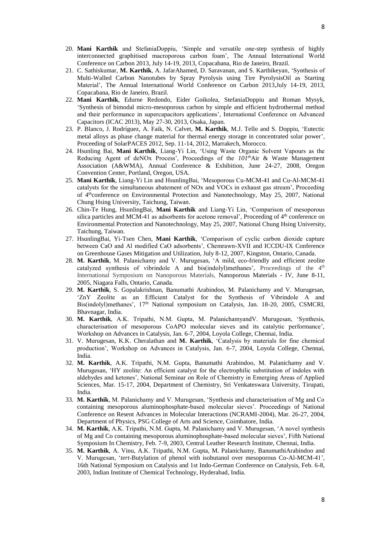- 20. **Mani Karthik** and StefaniaDoppiu, 'Simple and versatile one-step synthesis of highly interconnected graphitised macroporous carbon foam', The Annual International World Conference on Carbon 2013, July 14-19, 2013, Copacabana, Rio de Janeiro, Brazil.
- 21. C. Sathiskumar, **M. Karthik**, A. JafarAhamed, D. Saravanan, and S. Karthikeyan, 'Synthesis of Multi-Walled Carbon Nanotubes by Spray Pyrolysis using Tire PyrolysisOil as Starting Material', The Annual International World Conference on Carbon 2013,July 14-19, 2013, Copacabana, Rio de Janeiro, Brazil.
- 22. **Mani Karthik**, Edurne Redondo, Eider Goikolea, StefaniaDoppiu and Roman Mysyk, 'Synthesis of bimodal micro-mesoporous carbon by simple and efficient hydrothermal method and their performance in supercapacitors applications', International Conference on Advanced Capacitors (ICAC 2013), May 27-30, 2013, Osaka, Japan.
- 23. P. Blanco, J. Rodríguez, A. Faik, N. Calvet, **M. Karthik**, M.J. Tello and S. Doppiu, 'Eutectic metal alloys as phase change material for thermal energy storage in concentrated solar power', Proceeding of SolarPACES 2012, Sep. 11-14, 2012, Marrakech, Morocco.
- 24. Hsunling Bai, **Mani Karthik**, Liang-Yi Lin, 'Using Waste Organic Solvent Vapours as the Reducing Agent of deNOx Process', Proceedings of the *101th*Air & Waste Management Association (A&WMA), Annual Conference & Exhibition, June 24-27, 2008, Oregon Convention Center, Portland, Oregon, USA.
- 25. **Mani Karthik**, Liang-Yi Lin and HsunlingBai, 'Mesoporous Cu-MCM-41 and Cu-Al-MCM-41 catalysts for the simultaneous abatement of NOx and VOCs in exhaust gas stream', Proceeding of 4<sup>th</sup>conference on Environmental Protection and Nanotechnology, May 25, 2007, National Chung Hsing University, Taichung, Taiwan.
- 26. Chin-Te Hung, HsunlingBai, **Mani Karthik** and Liang-Yi Lin, 'Comparison of mesoporous silica particles and MCM-41 as adsorbents for acetone removal', Proceeding of  $4<sup>th</sup>$  conference on Environmental Protection and Nanotechnology, May 25, 2007, National Chung Hsing University, Taichung, Taiwan.
- 27. HsunlingBai, Yi-Tsen Chen, **Mani Karthik**, 'Comparison of cyclic carbon dioxide capture between CaO and Al modified CaO adsorbents', Chemrawn-XVII and ICCDU-IX Conference on Greenhouse Gases Mitigation and Utilization, July 8-12, 2007, Kingston, Ontario, Canada.
- 28. **M. Karthik**, M. Palanichamy and V. Murugesan, 'A mild, eco-friendly and efficient zeolite catalyzed synthesis of vibrindole A and bis(indolyl)methanes', Proceedings of the  $4<sup>th</sup>$ International Symposium on Nanoporous Materials, Nanoporous Materials - IV, June 8-11, 2005, Niagara Falls, Ontario, Canada.
- 29. **M. Karthik**, S. Gopalakrishnan, Banumathi Arabindoo, M. Palanichamy and V. Murugesan, 'ZnY Zeolite as an Efficient Catalyst for the Synthesis of Vibrindole A and Bis(indolyl)methanes', 17th National symposium on Catalysis, Jan. 18-20, 2005, CSMCRI, Bhavnagar, India.
- 30. **M. Karthik**, A.K. Tripathi, N.M. Gupta, M. PalanichamyandV. Murugesan, 'Synthesis, characterisation of mesoporous CoAPO molecular sieves and its catalytic performance', Workshop on Advances in Catalysis, Jan. 6-7, 2004, Loyola College, Chennai, India.
- 31. V. Murugesan, K.K. Cheralathan and **M. Karthik**, 'Catalysis by materials for fine chemical production', Workshop on Advances in Catalysis, Jan. 6-7, 2004, Loyola College, Chennai, India.
- 32. **M. Karthik**, A.K. Tripathi, N.M. Gupta, Banumathi Arabindoo, M. Palanichamy and V. Murugesan, 'HY zeolite: An efficient catalyst for the electrophilic substitution of indoles with aldehydes and ketones', National Seminar on Role of Chemistry in Emerging Areas of Applied Sciences, Mar. 15-17, 2004, Department of Chemistry, Sri Venkateswara University, Tirupati, India.
- 33. **M. Karthik**, M. Palanichamy and V. Murugesan, 'Synthesis and characterisation of Mg and Co containing mesoporous aluminophosphate-based molecular sieves'. Proceedings of National Conference on Resent Advances in Molecular Interactions (NCRAMI-2004), Mar. 26-27, 2004, Department of Physics, PSG College of Arts and Science, Coimbatore, India.
- 34. **M. Karthik**, A.K. Tripathi, N.M. Gupta, M. Palanichamy and V. Murugesan, 'A novel synthesis of Mg and Co containing mesoporous aluminophosphate-based molecular sieves', Fifth National Symposium In Chemistry, Feb. 7-9, 2003, Central Leather Research Institute, Chennai, India.
- 35. **M. Karthik**, A. Vinu, A.K. Tripathi, N.M. Gupta, M. Palanichamy, BanumathiArabindoo and V. Murugesan, '*tert*-Butylation of phenol with isobutanol over mesoporous Co-Al-MCM-41', 16th National Symposium on Catalysis and 1st Indo-German Conference on Catalysis, Feb. 6-8, 2003, Indian Institute of Chemical Technology, Hyderabad, India.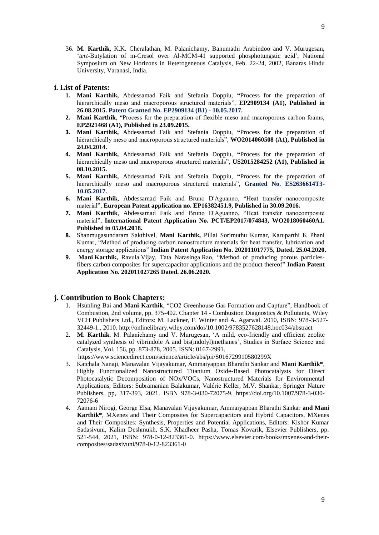36. **M. Karthik**, K.K. Cheralathan, M. Palanichamy, Banumathi Arabindoo and V. Murugesan, '*tert*-Butylation of m-Cresol over Al-MCM-41 supported phosphotungstic acid', National Symposium on New Horizons in Heterogeneous Catalysis, Feb. 22-24, 2002, Banaras Hindu University, Varanasi, India.

#### **i. List of Patents:**

- **1. Mani Karthik,** Abdessamad Faik and Stefania Doppiu, **"**Process for the preparation of hierarchically meso and macroporous structured materials", **EP2909134 (A1)**, Published in **26.08.2015. Patent Granted No. EP2909134 (B1) - 10.05.2017.**
- **2. Mani Karthik**, "Process for the preparation of flexible meso and macroporous carbon foams, **EP2921468 (A1), Published in 23.09.2015.**
- **3. Mani Karthik,** Abdessamad Faik and Stefania Doppiu, **"**Process for the preparation of hierarchically meso and macroporous structured materials", **WO2014060508 (A1), Published in 24.04.2014.**
- **4. Mani Karthik,** Abdessamad Faik and Stefania Doppiu, **"**Process for the preparation of hierarchically meso and macroporous structured materials", **US2015284252 (A1), Published in 08.10.2015.**
- **5. Mani Karthik,** Abdessamad Faik and Stefania Doppiu, **"**Process for the preparation of hierarchically meso and macroporous structured materials"**, Granted No. ES2636614T3- 10.05.2017.**
- **6. Mani Karthik**, Abdessamad Faik and Bruno D'Aguanno, "Heat transfer nanocomposite material", **European Patent application no. EP16382451.9, Published in 30.09.2016.**
- **7. Mani Karthik**, Abdessamad Faik and Bruno D'Aguanno, "Heat transfer nanocomposite material", **International Patent Application No. PCT/EP2017/074843, WO2018060460A1. Published in 05.04.2018.**
- **8.** Shanmugasundaram Sakthivel, **Mani Karthik,** Pillai Sorimuthu Kumar, Karuparthi K Phani Kumar, "Method of producing carbon nanostructure materials for heat transfer, lubrication and energy storage applications" **Indian Patent Application No. 202011017775, Dated. 25.04.2020.**
- **9. Mani Karthik,** Ravula Vijay, Tata Narasinga Rao, "Method of producing porous particlesfibers carbon composites for supercapacitor applications and the product thereof" **Indian Patent Application No. 202011027265 Dated. 26.06.2020.**

#### **j. Contribution to Book Chapters:**

- 1. Hsunling Bai and **Mani Karthik**, "CO2 Greenhouse Gas Formation and Capture", Handbook of Combustion, 2nd volume, pp. 375-402. Chapter 14 - Combustion Diagnostics & Pollutants, Wiley VCH Publishers Ltd., Editors: M. Lackner, F. Winter and A. Agarwal. 2010, ISBN: 978-3-527- 32449-1., 2010. http://onlinelibrary.wiley.com/doi/10.1002/9783527628148.hoc034/abstract
- 2. **M. Karthik**, M. Palanichamy and V. Murugesan, 'A mild, eco-friendly and efficient zeolite catalyzed synthesis of vibrindole A and bis(indolyl)methanes', Studies in Surface Science and Catalysis, Vol. 156, pp. 873-878, 2005. ISSN: 0167-2991.
	- <https://www.sciencedirect.com/science/article/abs/pii/S016729910580299X>
- 3. Katchala Nanaji, Manavalan Vijayakumar, Ammaiyappan Bharathi Sankar and **Mani Karthik\***, Highly Functionalized Nanostructured Titanium Oxide-Based Photocatalysts for Direct Photocatalytic Decomposition of NOx/VOCs, Nanostructured Materials for Environmental Applications, Editors: Subramanian Balakumar, Valérie Keller, M.V. Shankar, Springer Nature Publishers, pp, 317-393, 2021. ISBN 978-3-030-72075-9. https://doi.org/10.1007/978-3-030- 72076-6
- 4. Aamani Nirogi, George Elsa, Manavalan Vijayakumar, Ammaiyappan Bharathi Sankar **and Mani Karthik\***, MXenes and Their Composites for Supercapacitors and Hybrid Capacitors, MXenes and Their Composites: Synthesis, Properties and Potential Applications, Editors: Kishor Kumar Sadasivuni, Kalim Deshmukh, S.K. Khadheer Pasha, Tomas Kovarik, Elsevier Publishers, pp. 521-544, 2021, ISBN: 978-0-12-823361-0. https://www.elsevier.com/books/mxenes-and-theircomposites/sadasivuni/978-0-12-823361-0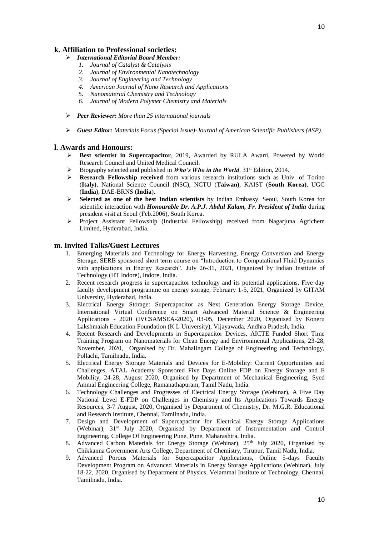### **k. Affiliation to Professional societies:**

- *International Editorial Board Member:*
	- *1. Journal of Catalyst & Catalysis*
	- *2. Journal of Environmental Nanotechnology*
	- *3. [Journal of Engineering and Technology](Journal%20of%20Engineering%20and%20Technology%20(UPI-JET))*
	- *4. American Journal of Nano Research and Applications* 
		- *5. Nanomaterial Chemistry and Technology*
		- *6. Journal of Modern Polymer Chemistry and Materials*
- *Peer Reviewer: More than 25 international journals*
- *Guest Editor: Materials Focus (Special Issue)-Journal of American Scientific Publishers (ASP).*

#### **l. Awards and Honours:**

- **Best scientist in Supercapacitor**, 2019, Awarded by RULA Award, Powered by World Research Council and United Medical Council.
- $\triangleright$  Biography selected and published in *Who's Who in the World*, 31<sup>st</sup> Edition, 2014.
- **Research Fellowship received** from various research institutions such as Univ. of Torino (**Italy)**, National Science Council (NSC), NCTU (**Taiwan)**, KAIST (**South Korea)**, UGC (**India**), DAE-BRNS (**India**).
- **Selected as one of the best Indian scientists** by Indian Embassy, Seoul, South Korea for scientific interaction with *Honourable Dr. A.P.J. Abdul Kalam, Fr. President of India* during president visit at Seoul (Feb.2006), South Korea.
- $\triangleright$  Project Assistant Fellowship (Industrial Fellowship) received from Nagarjuna Agrichem Limited, Hyderabad, India.

#### **m. Invited Talks/Guest Lectures**

- 1. Emerging Materials and Technology for Energy Harvesting, Energy Conversion and Energy Storage, SERB sponsored short term course on "Introduction to Computational Fluid Dynamics with applications in Energy Research", July 26-31, 2021, Organized by Indian Institute of Technology (IIT Indore), Indore, India.
- 2. Recent research progress in supercapacitor technology and its potential applications, Five day faculty development programme on energy storage, February 1-5, 2021, Organized by GITAM University, Hyderabad, India.
- 3. Electrical Energy Storage: Supercapacitor as Next Generation Energy Storage Device, International Virtual Conference on Smart Advanced Material Science & Engineering Applications - 2020 (IVCSAMSEA-2020), 03-05, December 2020, Organised by Koneru Lakshmaiah Education Foundation (K L University), Vijayawada, Andhra Pradesh, India.
- 4. Recent Research and Developments in Supercapacitor Devices, AICTE Funded Short Time Training Program on Nanomaterials for Clean Energy and Environmental Applications, 23-28, November, 2020, Organised by Dr. Mahalingam College of Engineering and Technology, Pollachi, Tamilnadu, India.
- 5. Electrical Energy Storage Materials and Devices for E-Mobility: Current Opportunities and Challenges, ATAL Academy Sponsored Five Days Online FDP on Energy Storage and E Mobility, 24-28, August 2020, Organised by Department of Mechanical Engineering, Syed Ammal Engineering College, Ramanathapuram, Tamil Nadu, India.
- 6. Technology Challenges and Progresses of Electrical Energy Storage (Webinar), A Five Day National Level E-FDP on Challenges in Chemistry and Its Applications Towards Energy Resources, 3-7 August, 2020, Organised by Department of Chemistry, Dr. M.G.R. Educational and Research Institute, Chennai, Tamilnadu, India.
- 7. Design and Development of Supercapacitor for Electrical Energy Storage Applications (Webinar), 31<sup>st</sup> July 2020, Organised by Department of Instrumentation and Control Engineering, College Of Engineering Pune, Pune, Maharashtra, India.
- 8. Advanced Carbon Materials for Energy Storage (Webinar), 25<sup>th</sup> July 2020, Organised by Chikkanna Government Arts College, Department of Chemistry, Tirupur, Tamil Nadu, India.
- 9. Advanced Porous Materials for Supercapacitor Applications, Online 5-days Faculty Development Program on Advanced Materials in Energy Storage Applications (Webinar), July 18-22, 2020, Organised by Department of Physics, Velammal Institute of Technology, Chennai, Tamilnadu, India.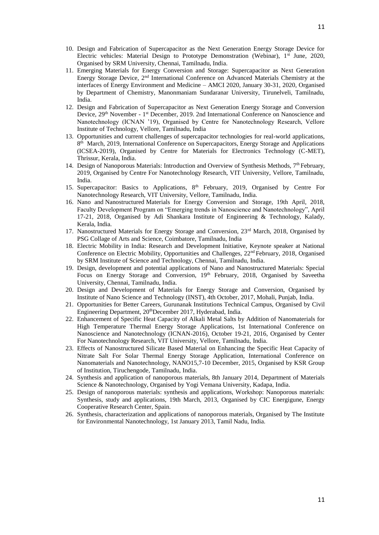- 10. Design and Fabrication of Supercapacitor as the Next Generation Energy Storage Device for Electric vehicles: Material Design to Prototype Demonstration (Webinar), 1<sup>st</sup> June, 2020, Organised by SRM University, Chennai, Tamilnadu, India.
- 11. Emerging Materials for Energy Conversion and Storage: Supercapacitor as Next Generation Energy Storage Device, 2nd International Conference on Advanced Materials Chemistry at the interfaces of Energy Environment and Medicine – AMCI 2020, January 30-31, 2020, Organised by Department of Chemistry, Manonmaniam Sundaranar University, Tirunelveli, Tamilnadu, India.
- 12. Design and Fabrication of Supercapacitor as Next Generation Energy Storage and Conversion Device, 29<sup>th</sup> November - 1<sup>st</sup> December, 2019. 2nd International Conference on Nanoscience and Nanotechnology (ICNAN '19), Organised by Centre for Nanotechnology Research, Vellore Institute of Technology, Vellore, Tamilnadu, India
- 13. Opportunities and current challenges of supercapacitor technologies for real-world applications, 8<sup>th</sup> March, 2019, International Conference on Supercapacitors, Energy Storage and Applications (ICSEA-2019), Organised by Centre for Materials for Electronics Technology (C-MET), Thrissur, Kerala, India.
- 14. Design of Nanoporous Materials: Introduction and Overview of Synthesis Methods,  $7<sup>th</sup>$  February, 2019, Organised by Centre For Nanotechnology Research, VIT University, Vellore, Tamilnadu, India.
- 15. Supercapacitor: Basics to Applications, 8th February, 2019, Organised by Centre For Nanotechnology Research, VIT University, Vellore, Tamilnadu, India.
- 16. Nano and Nanostructured Materials for Energy Conversion and Storage, 19th April, 2018, Faculty Development Program on "Emerging trends in Nanoscience and Nanotechnology", April 17-21, 2018, Organised by Adi Shankara Institute of Engineering & Technology, Kalady, Kerala, India.
- 17. Nanostructured Materials for Energy Storage and Conversion, 23rd March, 2018, Organised by PSG Collage of Arts and Science, Coimbatore, Tamilnadu, India
- 18. Electric Mobility in India: Research and Development Initiative, Keynote speaker at National Conference on Electric Mobility, Opportunities and Challenges, 22nd February, 2018, Organised by SRM Institute of Science and Technology, Chennai, Tamilnadu, India.
- 19. Design, development and potential applications of Nano and Nanostructured Materials: Special Focus on Energy Storage and Conversion, 19th February, 2018, Organised by Saveetha University, Chennai, Tamilnadu, India.
- 20. Design and Development of Materials for Energy Storage and Conversion, Organised by Institute of Nano Science and Technology (INST), 4th October, 2017, Mohali, Punjab, India.
- 21. Opportunities for Better Careers, Gurunanak Institutions Technical Campus, Organised by Civil Engineering Department, 20thDecember 2017, Hyderabad, India.
- 22. Enhancement of Specific Heat Capacity of Alkali Metal Salts by Addition of Nanomaterials for High Temperature Thermal Energy Storage Applications, 1st International Conference on Nanoscience and Nanotechnology (ICNAN-2016), October 19-21, 2016, Organised by Center For Nanotechnology Research, VIT University, Vellore, Tamilnadu, India.
- 23. Effects of Nanostructured Silicate Based Material on Enhancing the Specific Heat Capacity of Nitrate Salt For Solar Thermal Energy Storage Application, International Conference on Nanomaterials and Nanotechnology, NANO15,7-10 December, 2015, Organised by KSR Group of Institution, Tiruchengode, Tamilnadu, India.
- 24. Synthesis and application of nanoporous materials, 8th January 2014, Department of Materials Science & Nanotechnology, Organised by Yogi Vemana University, Kadapa, India.
- 25. Design of nanoporous materials: synthesis and applications, Workshop: Nanoporous materials: Synthesis, study and applications, 19th March, 2013, Organised by CIC Energigune, Energy Cooperative Research Center, Spain.
- 26. Synthesis, characterization and applications of nanoporous materials, Organised by The Institute for Environmental Nanotechnology, 1st January 2013, Tamil Nadu, India.